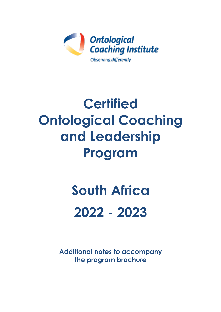

## **Certified Ontological Coaching and Leadership Program**

# **South Africa 2022 - 2023**

**Additional notes to accompany the program brochure**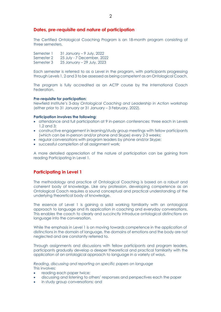#### **Dates, pre-requisite and nature of participation**

The Certified Ontological Coaching Program is an 18-month program consisting of three semesters.

Semester 1 31 January – 9 July, 2022 Semester 2 25 July - 7 December, 2022 Semester 3 25 January – 29 July, 2023

Each semester is referred to as a Level in the program, with participants progressing through Levels 1, 2 and 3 to be assessed as being competent as an Ontological Coach.

The program is fully accredited as an ACTP course by the International Coach Federation.

#### **Pre-requisite for participation:**

Newfield Institute's 3-day *Ontological Coaching and Leadership in Action* workshop (either prior to 31 January or 31 January – 3 February, 2022).

#### **Participation involves the following:**

- attendance and full participation at 9 in-person conferences: three each in Levels 1,2 and 3;
- constructive engagement in learning/study group meetings with fellow participants (which can be in-person and/or phone and Skype) every 2-3 weeks;
- regular conversations with program leaders by phone and/or Skype;
- successful completion of all assignment work;

A more detailed appreciation of the nature of participation can be gaining from reading Participating in Level 1.

#### **Participating in Level 1**

The methodology and practice of Ontological Coaching is based on a robust and coherent body of knowledge. Like any profession, developing competence as an Ontological Coach requires a sound conceptual and practical understanding of the underlying theoretical body of knowledge.

The essence of Level 1 is gaining a solid working familiarity with an ontological approach to language and its application in coaching and everyday conversations. This enables the coach to clearly and succinctly introduce ontological distinctions on language into the conversation.

While the emphasis in Level 1 is on moving towards competence in the application of distinctions in the domain of language, the domains of emotions and the body are not neglected and are constantly referred to.

Through assignments and discussions with fellow participants and program leaders, participants gradually develop a deeper theoretical and practical familiarity with the application of an ontological approach to language in a variety of ways.

*Reading, discussing and reporting on specific papers on language* This involves:

- reading each paper twice;
- discussing and listening to others' responses and perspectives each the paper
- in study group conversations; and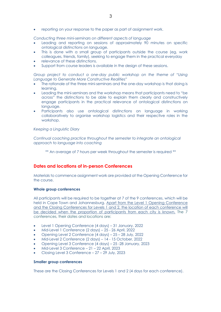• reporting on your response to the paper as part of assignment work.

*Conducting three mini-seminars on different aspects of language*

- Leading and reporting on sessions of approximately 90 minutes on specific ontological distinctions on language.
- This is done with a small group of participants outside the course (eg, work colleagues, friends, family), seeking to engage them in the practical everyday
- relevance of these distinctions.
- Support from course leaders is available in the design of these sessions.

*Group project to conduct a one-day public workshop on the theme of "Using Language to Generate More Constructive Realities"*

- The rationale of the three mini-seminars and the one-day workshop is that doing is learning.
- Leading the mini-seminars and the workshop means that participants need to "be across" the distinctions to be able to explain them clearly and constructively engage participants in the practical relevance of ontological distinctions on language.
- Participants also use ontological distinctions on language in working collaboratively to organise workshop logistics and their respective roles in the workshop.

#### *Keeping a Linguistic Diary*

*Continual coaching practice throughout the semester to integrate an ontological approach to language into coaching*

\*\* An average of 7 hours per week throughout the semester is required \*\*

#### **Dates and locations of in-person Conferences**

Materials to commence assignment work are provided at the Opening Conference for the course.

#### **Whole group conferences**

All participants will be required to be together at 7 of the 9 conferences, which will be held in Cape Town and Johannesburg. Apart from the Level 1 Opening Conference and the Closing Conferences for Levels 1 and 2, the location of each conference will be decided when the proportion of participants from each city is known. The 7 conferences, their dates and locations are:

- Level 1 Opening Conference (4 days) 31 January, 2022
- Mid-Level 1 Conference (2 days) 25 26 April, 2022
- Opening Level 2 Conference (4 days) 25 28 July, 2022
- Mid-Level 2 Conference (2 days) 14 15 October, 2022
- Opening Level 3 Conference (4 days) 25 -28 January, 2023
- Mid-Level 3 Conference 21 22 April, 2023
- Closing Level 3 Conference 27 29 July, 2023

#### **Smaller group conferences**

These are the Closing Conferences for Levels 1 and 2 (4 days for each conference).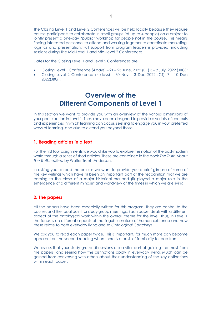The Closing Level 1 and Level 2 Conferences will be held locally because they require course participants to collaborate in small groups (of up to 4 people) on a project to jointly present a one-day "public" workshop for people not in the course. This means finding interested personnel to attend and working together to coordinate marketing, logistics and presentation. Full support from program leaders is provided, including sessions during The Mid-Level 1 and Mid-Level 2 Conferences.

Dates for the Closing Level 1 and Level 2 Conferences are:

- Closing Level 1 Conference (4 days) 21 25 June, 2022 (CT) 5 9 July, 2022 (JBG);
- Closing Level 2 Conference (4 days) 30 Nov 3 Dec 2022 (CT); 7 10 Dec 2022(JBG).

### **Overview of the Different Components of Level 1**

In this section we want to provide you with an overview of the various dimensions of your participation in Level 1. These have been designed to provide a variety of contexts and experiences in which learning can occur, seeking to engage you in your preferred ways of learning, and also to extend you beyond those.

#### **1. Reading articles in a text**

For the first four assignments we would like you to explore the notion of the post-modern world through a series of short articles. These are contained in the book *The Truth About The Truth,* edited by Walter Truett Anderson.

In asking you to read the articles we want to provide you a brief glimpse of some of the key writings which have (i) been an important part of the recognition that we are coming to the close of a major historical era and (ii) played a major role in the emergence of a different mindset and worldview of the times in which we are living.

#### **2. The papers**

All the papers have been especially written for this program. They are central to the course, and the focal point for study group meetings. Each paper deals with a different aspect of the ontological work within the overall theme for the level. Thus, in Level 1 the focus is on different aspects of the linguistic nature of human existence and how these relate to both everyday living and to *Ontological Coaching.*

We ask you to read each paper twice. This is important, for much more can become apparent on the second reading when there is a basis of familiarity to read from.

We assess that your study group discussions are a vital part of gaining the most from the papers, and seeing how the distinctions apply in everyday living. Much can be gained from conversing with others about their understanding of the key distinctions within each paper.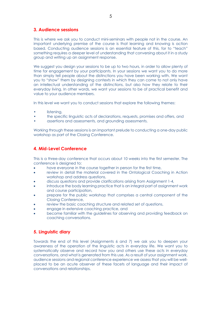#### **3. Audience sessions**

This is where we ask you to conduct mini-seminars with people not in the course. An important underlying premise of the course is that learning and knowing is action based. Conducting audience sessions is an essential feature of this, for to "teach" something requires a deeper level of understanding that conversing about it in a study group and writing up an assignment response.

We suggest you design your sessions to be up to two hours, in order to allow plenty of time for engagement by your participants. In your sessions we want you to do more than simply tell people about the distinctions you have been working with. We want you to "show" them by designing contexts in which they can come to not only have an intellectual understanding of the distinctions, but also how they relate to their everyday living. In other words, we want your sessions to be of practical benefit and value to your audience members.

In this level we want you to conduct sessions that explore the following themes:

- listening,
- the specific linguistic acts of declarations, requests, promises and offers, and
- assertions and assessments, and grounding assessments.

Working through these sessions is an important prelude to conducting a one-day public workshop as part of the Closing Conference.

#### **4. Mid-Level Conference**

This is a three-day conference that occurs about 10 weeks into the first semester. The conference is designed to:

- have everyone in the course together in person for the first time,
- review in detail the material covered in the Ontological Coaching in Action workshop and address questions,
- discuss questions and provide clarifications arising from Assignment 1-4,
- introduce the body learning practice that is an integral part of assignment work and course participation,
- prepare for the public workshop that comprises a central component of the Closing Conference,
- review the basic coaching structure and related set of questions,
- engage in extensive coaching practice, and
- become familiar with the guidelines for observing and providing feedback on coaching conversations.

#### **5. Linguistic diary**

Towards the end of this level (Assignments 6 and 7) we ask you to deepen your awareness of the operation of the linguistic acts in everyday life. We want you to systematically observe and record how you and others use these acts in everyday conversations, and what is generated from this use. As a result of your assignment work, audience sessions and regional conference experience we assess that you will be wellplaced to be an acute observer of these facets of language and their impact of conversations and relationships.